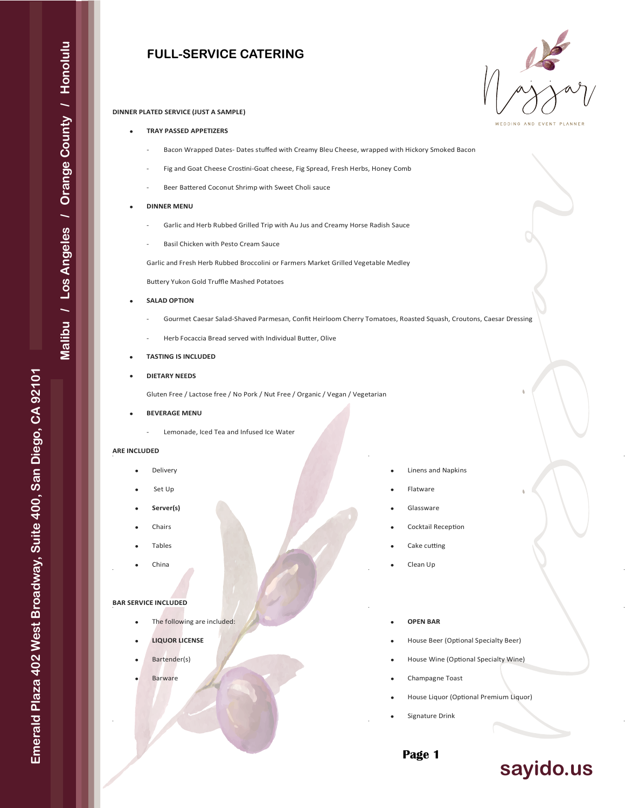# **FULL-SERVICE CATERING**



### **DINNER PLATED SERVICE (JUST A SAMPLE)**

# • **TRAY PASSED APPETIZERS**

- Bacon Wrapped Dates- Dates stuffed with Creamy Bleu Cheese, wrapped with Hickory Smoked Bacon
- Fig and Goat Cheese Crostini-Goat cheese, Fig Spread, Fresh Herbs, Honey Comb
- Beer Battered Coconut Shrimp with Sweet Choli sauce

### • **DINNER MENU**

- Garlic and Herb Rubbed Grilled Trip with Au Jus and Creamy Horse Radish Sauce
- Basil Chicken with Pesto Cream Sauce

Garlic and Fresh Herb Rubbed Broccolini or Farmers Market Grilled Vegetable Medley

Bu�ery Yukon Gold Truffle Mashed Potatoes

- **SALAD OPTION**
	- Gourmet Caesar Salad-Shaved Parmesan, Confit Heirloom Cherry Tomatoes, Roasted Squash, Croutons, Caesar Dressing
	- Herb Focaccia Bread served with Individual Butter, Olive

### • **TASTING IS INCLUDED**

# • **DIETARY NEEDS**

Gluten Free / Lactose free / No Pork / Nut Free / Organic / Vegan / Vegetarian

- **BEVERAGE MENU**
	- Lemonade, Iced Tea and Infused Ice Water

### **ARE INCLUDED**

- **Delivery**
- Set Up
- **Server(s)**
- Chairs
- Tables
- China

### **BAR SERVICE INCLUDED**

- The following are included:
- **LIQUOR LICENSE**
- Bartender(s)
- **Barware**
- Linens and Napkins
- Flatware
- **Glassware**
- Cocktail Reception
- Cake cutting
- Clean Up
- **OPEN BAR**
- House Beer (Optional Specialty Beer)
- House Wine (Optional Specialty Wine)
- Champagne Toast
- House Liquor (Optional Premium Liquor)
- Signature Drink

**Page 1**

# **sayido.us**

**Emerald Plaza 402 West Broadway, Suite 400, San Diego, CA 92101**

Emerald Plaza 402 West Broadway, Suite 400, San Diego, CA 92101